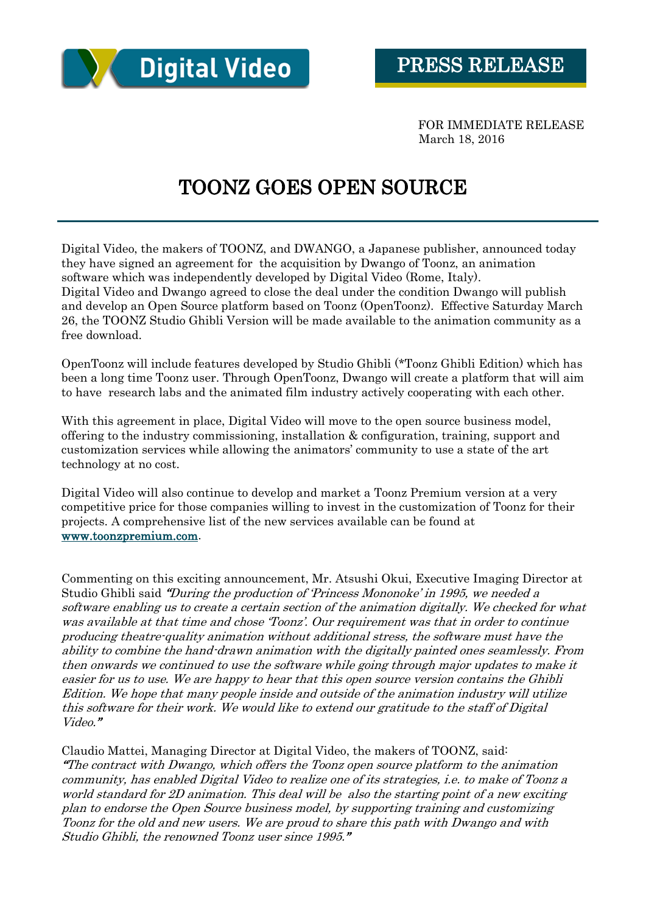

FOR IMMEDIATE RELEASE March 18, 2016

## TOONZ GOES OPEN SOURCE

Digital Video, the makers of TOONZ, and DWANGO, a Japanese publisher, announced today they have signed an agreement for the acquisition by Dwango of Toonz, an animation software which was independently developed by Digital Video (Rome, Italy). Digital Video and Dwango agreed to close the deal under the condition Dwango will publish and develop an Open Source platform based on Toonz (OpenToonz). Effective Saturday March 26, the TOONZ Studio Ghibli Version will be made available to the animation community as a free download.

OpenToonz will include features developed by Studio Ghibli (\*Toonz Ghibli Edition) which has been a long time Toonz user. Through OpenToonz, Dwango will create a platform that will aim to have research labs and the animated film industry actively cooperating with each other.

With this agreement in place, Digital Video will move to the open source business model, offering to the industry commissioning, installation & configuration, training, support and customization services while allowing the animators' community to use a state of the art technology at no cost.

Digital Video will also continue to develop and market a Toonz Premium version at a very competitive price for those companies willing to invest in the customization of Toonz for their projects. A comprehensive list of the new services available can be found at [www.toonzpremium.com.](../AppData/Local/Temp/www.toonzpremium.com)

Commenting on this exciting announcement, Mr. Atsushi Okui, Executive Imaging Director at Studio Ghibli said "During the production of 'Princess Mononoke' in 1995, we needed a software enabling us to create a certain section of the animation digitally. We checked for what was available at that time and chose 'Toonz'. Our requirement was that in order to continue producing theatre-quality animation without additional stress, the software must have the ability to combine the hand-drawn animation with the digitally painted ones seamlessly. From then onwards we continued to use the software while going through major updates to make it easier for us to use. We are happy to hear that this open source version contains the Ghibli Edition. We hope that many people inside and outside of the animation industry will utilize this software for their work. We would like to extend our gratitude to the staff of Digital Video."

Claudio Mattei, Managing Director at Digital Video, the makers of TOONZ, said: "The contract with Dwango, which offers the Toonz open source platform to the animation community, has enabled Digital Video to realize one of its strategies, i.e. to make of Toonz a world standard for 2D animation. This deal will be also the starting point of a new exciting plan to endorse the Open Source business model, by supporting training and customizing Toonz for the old and new users. We are proud to share this path with Dwango and with Studio Ghibli, the renowned Toonz user since 1995."